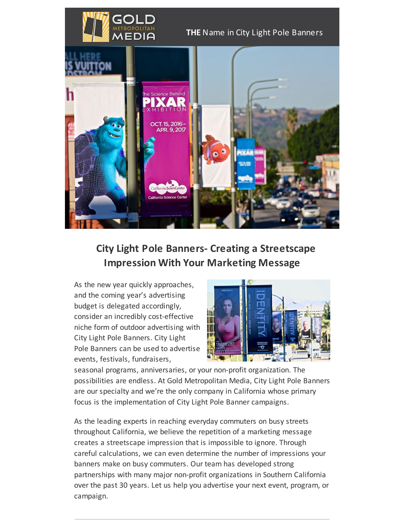

#### **THE** Name in City Light Pole Banners



# **City Light Pole Banners- Creating a Streetscape Impression With Your Marketing Message**

As the new year quickly approaches, and the coming year's advertising budget is delegated accordingly, consider an incredibly cost-effective niche form of outdoor advertising with City Light Pole Banners. City Light Pole Banners can be used to advertise events, festivals, fundraisers,



seasonal programs, anniversaries, or your non-profit organization. The possibilities are endless. At Gold Metropolitan Media, City Light Pole Banners are our specialty and we're the only company in California whose primary focus is the implementation of City Light Pole Banner campaigns.

As the leading experts in reaching everyday commuters on busy streets throughout California, we believe the repetition of a marketing message creates a streetscape impression that is impossible to ignore. Through careful calculations, we can even determine the number of impressions your banners make on busy commuters. Our team has developed strong partnerships with many major non-profit organizations in Southern California over the past 30 years. Let us help you advertise your next event, program, or campaign.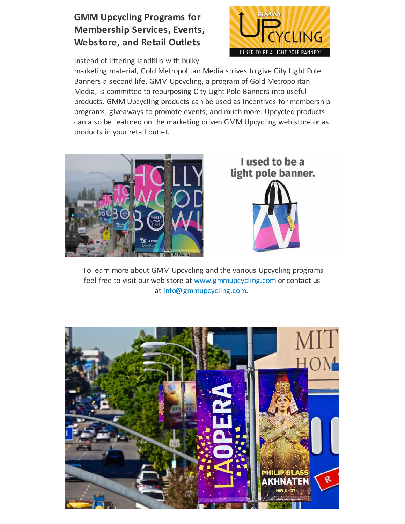## **GMM Upcycling Programs for Membership Services, Events, Webstore, and Retail Outlets**

Instead of littering landfills with bulky



marketing material, Gold Metropolitan Media strives to give City Light Pole Banners a second life. GMM Upcycling, a program of Gold Metropolitan Media, is committed to repurposing City Light Pole Banners into useful products. GMM Upcycling products can be used as incentives for membership programs, giveaways to promote events, and much more. Upcycled products can also be featured on the marketing driven GMM Upcycling web store or as products in your retail outlet.





To learn more about GMM Upcycling and the various Upcycling programs feel free to visit our web store at [www.gmmupcycling.com](http://www.gmmupcycling.com/) or contact us at [info@gmmupcycling.com](mailto:info@gmmupcycling.com).